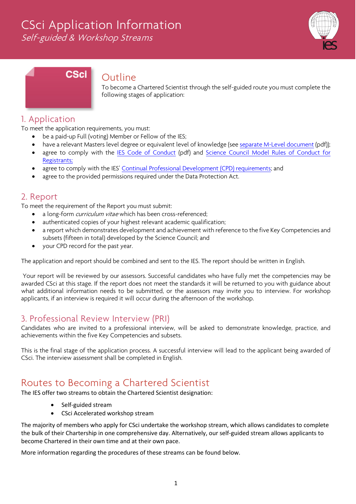# CSci Application Information

Self-guided & Workshop Streams



# **CSci**

### Outline

To become a Chartered Scientist through the self-guided route you must complete the following stages of application:

# 1. Application

To meet the application requirements, you must:

- be a paid-up Full (voting) Member or Fellow of the IES;
- have a relevant Masters level degree or equivalent level of knowledge (see [separate M-Level document](https://www.the-ies.org/sites/default/files/documents/Masters%20Level%20Competency.pdf) (pdf));
- agree to comply with the IES [Code of Conduct](https://www.the-ies.org/sites/default/files/documents/code_of_conduct_0.pdf) (pdf) and Science Council Model Rules of Conduct for [Registrants;](http://www.charteredscientist.org/about-csci/standards)
- agree to comply with the IES[' Continual Professional Development \(CPD\) requirements;](https://www.the-ies.org/professional_development) and
- agree to the provided permissions required under the Data Protection Act.

# 2. Report

To meet the requirement of the Report you must submit:

- a long-form *curriculum vitae* which has been cross-referenced;
- authenticated copies of your highest relevant academic qualification;
- a report which demonstrates development and achievement with reference to the five Key Competencies and subsets (fifteen in total) developed by the Science Council; and
- your CPD record for the past year.

The application and report should be combined and sent to the IES. The report should be written in English.

Your report will be reviewed by our assessors. Successful candidates who have fully met the competencies may be awarded CSci at this stage. If the report does not meet the standards it will be returned to you with guidance about what additional information needs to be submitted, or the assessors may invite you to interview. For workshop applicants, if an interview is required it will occur during the afternoon of the workshop.

# 3. Professional Review Interview (PRI)

Candidates who are invited to a professional interview, will be asked to demonstrate knowledge, practice, and achievements within the five Key Competencies and subsets.

This is the final stage of the application process. A successful interview will lead to the applicant being awarded of CSci. The interview assessment shall be completed in English.

# Routes to Becoming a Chartered Scientist

The IES offer two streams to obtain the Chartered Scientist designation:

- Self-guided stream
- CSci Accelerated workshop stream

The majority of members who apply for CSci undertake the workshop stream, which allows candidates to complete the bulk of their Chartership in one comprehensive day. Alternatively, our self-guided stream allows applicants to become Chartered in their own time and at their own pace.

More information regarding the procedures of these streams can be found below.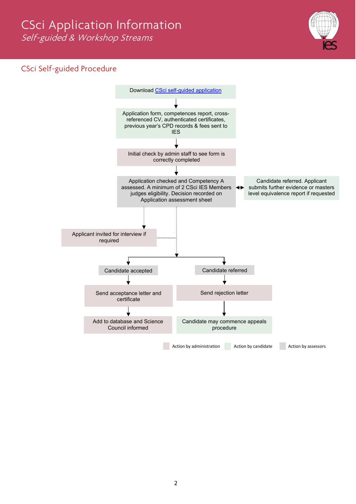

# CSci Self-guided Procedure

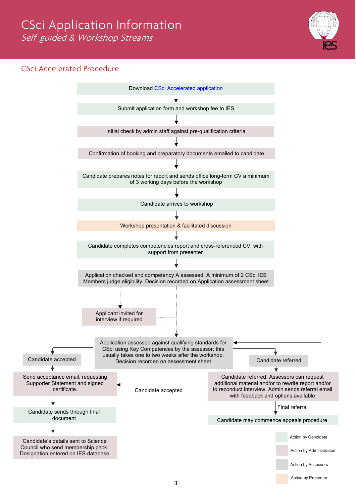### CSci Accelerated Procedure

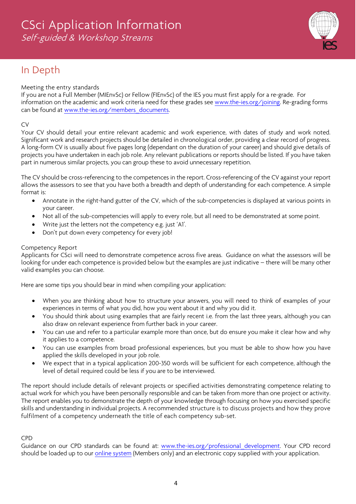

# In Depth

#### Meeting the entry standards

If you are not a Full Member (MIEnvSc) or Fellow (FIEnvSc) of the IES you must first apply for a re-grade. For information on the academic and work criteria need for these grades see [www.the-ies.org/joining.](http://www.the-ies.org/joining) Re-grading forms can be found at [www.the-ies.org/members\\_documents.](http://www.the-ies.org/members_documents)

#### CV

Your CV should detail your entire relevant academic and work experience, with dates of study and work noted. Significant work and research projects should be detailed in chronological order, providing a clear record of progress. A long-form CV is usually about five pages long (dependant on the duration of your career) and should give details of projects you have undertaken in each job role. Any relevant publications or reports should be listed. If you have taken part in numerous similar projects, you can group these to avoid unnecessary repetition.

The CV should be cross-referencing to the competences in the report. Cross-referencing of the CV against your report allows the assessors to see that you have both a breadth and depth of understanding for each competence. A simple format is:

- Annotate in the right-hand gutter of the CV, which of the sub-competencies is displayed at various points in your career.
- Not all of the sub-competencies will apply to every role, but all need to be demonstrated at some point.
- Write just the letters not the competency e.g. just 'A1'.
- Don't put down every competency for every job!

#### Competency Report

Applicants for CSci will need to demonstrate competence across five areas. Guidance on what the assessors will be looking for under each competence is provided below but the examples are just indicative – there will be many other valid examples you can choose.

Here are some tips you should bear in mind when compiling your application:

- When you are thinking about how to structure your answers, you will need to think of examples of your experiences in terms of what you did, how you went about it and why you did it.
- You should think about using examples that are fairly recent i.e. from the last three years, although you can also draw on relevant experience from further back in your career.
- You can use and refer to a particular example more than once, but do ensure you make it clear how and why it applies to a competence.
- You can use examples from broad professional experiences, but you must be able to show how you have applied the skills developed in your job role.
- We expect that in a typical application 200-350 words will be sufficient for each competence, although the level of detail required could be less if you are to be interviewed.

The report should include details of relevant projects or specified activities demonstrating competence relating to actual work for which you have been personally responsible and can be taken from more than one project or activity. The report enables you to demonstrate the depth of your knowledge through focusing on how you exercised specific skills and understanding in individual projects. A recommended structure is to discuss projects and how they prove fulfilment of a competency underneath the title of each competency sub-set.

#### CPD

Guidance on our CPD standards can be found at: www.the-ies.org/professional development. Your CPD record should be loaded up to our [online system](https://www.the-ies.org/members) (Members only) and an electronic copy supplied with your application.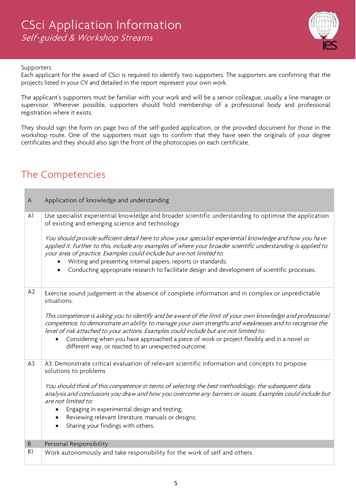

#### Supporters

Each applicant for the award of CSci is required to identify two supporters. The supporters are confirming that the projects listed in your CV and detailed in the report represent your own work.

The applicant's supporters must be familiar with your work and will be a senior colleague, usually a line manager or supervisor. Wherever possible, supporters should hold membership of a professional body and professional registration where it exists.

They should sign the form on page two of the self-guided application, or the provided document for those in the workshop route. One of the supporters must sign to confirm that they have seen the originals of your degree certificates and they should also sign the front of the photocopies on each certificate.

# The Competencies

| A              | Application of knowledge and understanding                                                                                                                                                                                                                                                                                                                                                                                                                                                                                                                                                                                          |
|----------------|-------------------------------------------------------------------------------------------------------------------------------------------------------------------------------------------------------------------------------------------------------------------------------------------------------------------------------------------------------------------------------------------------------------------------------------------------------------------------------------------------------------------------------------------------------------------------------------------------------------------------------------|
| A1             | Use specialist experiential knowledge and broader scientific understanding to optimise the application<br>of existing and emerging science and technology<br>You should provide sufficient detail here to show your specialist experiential knowledge and how you have<br>applied it. Further to this, include any examples of where your broader scientific understanding is applied to<br>your area of practice. Examples could include but are not limited to:<br>Writing and presenting internal papers, reports or standards;<br>Conducting appropriate research to facilitate design and development of scientific processes. |
| A2             | Exercise sound judgement in the absence of complete information and in complex or unpredictable<br>situations.<br>This competence is asking you to identify and be aware of the limit of your own knowledge and professional<br>competence, to demonstrate an ability to manage your own strengths and weaknesses and to recognise the<br>level of risk attached to your actions. Examples could include but are not limited to:<br>Considering when you have approached a piece of work or project flexibly and in a novel or<br>different way, or reacted to an unexpected outcome.                                               |
| A <sub>3</sub> | A3: Demonstrate critical evaluation of relevant scientific information and concepts to propose<br>solutions to problems<br>You should think of this competence in terms of selecting the best methodology, the subsequent data<br>analysis and conclusions you draw and how you overcome any barriers or issues. Examples could include but<br>are not limited to:<br>Engaging in experimental design and testing;<br>Reviewing relevant literature, manuals or designs;<br>Sharing your findings with others.                                                                                                                      |
| B              | Personal Responsibility                                                                                                                                                                                                                                                                                                                                                                                                                                                                                                                                                                                                             |
| B1             | Work autonomously and take responsibility for the work of self and others                                                                                                                                                                                                                                                                                                                                                                                                                                                                                                                                                           |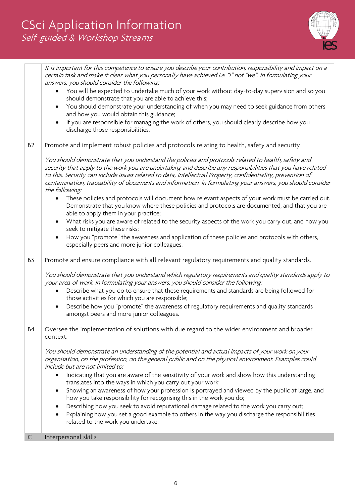

|                | It is important for this competence to ensure you describe your contribution, responsibility and impact on a<br>certain task and make it clear what you personally have achieved i.e. "I" not "we". In formulating your<br>answers, you should consider the following:                                                                                                                                                                                            |
|----------------|-------------------------------------------------------------------------------------------------------------------------------------------------------------------------------------------------------------------------------------------------------------------------------------------------------------------------------------------------------------------------------------------------------------------------------------------------------------------|
|                | You will be expected to undertake much of your work without day-to-day supervision and so you<br>should demonstrate that you are able to achieve this;                                                                                                                                                                                                                                                                                                            |
|                | You should demonstrate your understanding of when you may need to seek guidance from others<br>and how you would obtain this guidance;                                                                                                                                                                                                                                                                                                                            |
|                | If you are responsible for managing the work of others, you should clearly describe how you<br>discharge those responsibilities.                                                                                                                                                                                                                                                                                                                                  |
| B <sub>2</sub> | Promote and implement robust policies and protocols relating to health, safety and security                                                                                                                                                                                                                                                                                                                                                                       |
|                | You should demonstrate that you understand the policies and protocols related to health, safety and<br>security that apply to the work you are undertaking and describe any responsibilities that you have related<br>to this. Security can include issues related to data, Intellectual Property, confidentiality, prevention of<br>contamination, traceability of documents and information. In formulating your answers, you should consider<br>the following: |
|                | These policies and protocols will document how relevant aspects of your work must be carried out.<br>Demonstrate that you know where these policies and protocols are documented, and that you are<br>able to apply them in your practice;                                                                                                                                                                                                                        |
|                | What risks you are aware of related to the security aspects of the work you carry out, and how you<br>seek to mitigate these risks;                                                                                                                                                                                                                                                                                                                               |
|                | How you "promote" the awareness and application of these policies and protocols with others,<br>especially peers and more junior colleagues.                                                                                                                                                                                                                                                                                                                      |
| B <sub>3</sub> | Promote and ensure compliance with all relevant regulatory requirements and quality standards.                                                                                                                                                                                                                                                                                                                                                                    |
|                | You should demonstrate that you understand which regulatory requirements and quality standards apply to<br>your area of work. In formulating your answers, you should consider the following:                                                                                                                                                                                                                                                                     |
|                | Describe what you do to ensure that these requirements and standards are being followed for<br>those activities for which you are responsible;                                                                                                                                                                                                                                                                                                                    |
|                | Describe how you "promote" the awareness of regulatory requirements and quality standards<br>$\bullet$<br>amongst peers and more junior colleagues.                                                                                                                                                                                                                                                                                                               |
| B <sub>4</sub> | Oversee the implementation of solutions with due regard to the wider environment and broader<br>context.                                                                                                                                                                                                                                                                                                                                                          |
|                | You should demonstrate an understanding of the potential and actual impacts of your work on your<br>organisation, on the profession, on the general public and on the physical environment. Examples could<br>include but are not limited to:<br>Indicating that you are aware of the sensitivity of your work and show how this understanding<br>$\bullet$                                                                                                       |
|                | translates into the ways in which you carry out your work;                                                                                                                                                                                                                                                                                                                                                                                                        |
|                | Showing an awareness of how your profession is portrayed and viewed by the public at large, and<br>how you take responsibility for recognising this in the work you do;                                                                                                                                                                                                                                                                                           |
|                | Describing how you seek to avoid reputational damage related to the work you carry out;<br>Explaining how you set a good example to others in the way you discharge the responsibilities<br>related to the work you undertake.                                                                                                                                                                                                                                    |
| C              | Interpersonal skills                                                                                                                                                                                                                                                                                                                                                                                                                                              |
|                |                                                                                                                                                                                                                                                                                                                                                                                                                                                                   |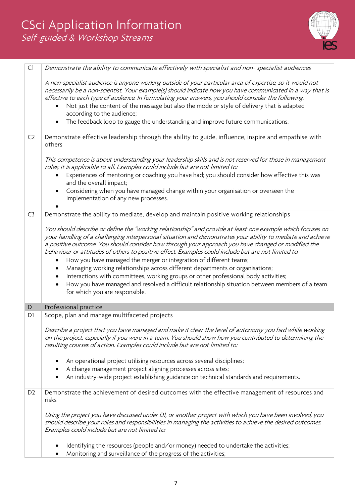

| C1             | Demonstrate the ability to communicate effectively with specialist and non-specialist audiences                                                                                                                                                                                                                                                                                                                                                                                                                                                                                                                                                                                                             |
|----------------|-------------------------------------------------------------------------------------------------------------------------------------------------------------------------------------------------------------------------------------------------------------------------------------------------------------------------------------------------------------------------------------------------------------------------------------------------------------------------------------------------------------------------------------------------------------------------------------------------------------------------------------------------------------------------------------------------------------|
|                | A non-specialist audience is anyone working outside of your particular area of expertise, so it would not<br>necessarily be a non-scientist. Your example(s) should indicate how you have communicated in a way that is<br>effective to each type of audience. In formulating your answers, you should consider the following:                                                                                                                                                                                                                                                                                                                                                                              |
|                | Not just the content of the message but also the mode or style of delivery that is adapted<br>$\bullet$                                                                                                                                                                                                                                                                                                                                                                                                                                                                                                                                                                                                     |
|                | according to the audience;                                                                                                                                                                                                                                                                                                                                                                                                                                                                                                                                                                                                                                                                                  |
|                | The feedback loop to gauge the understanding and improve future communications.<br>$\bullet$                                                                                                                                                                                                                                                                                                                                                                                                                                                                                                                                                                                                                |
| C <sub>2</sub> | Demonstrate effective leadership through the ability to guide, influence, inspire and empathise with<br>others                                                                                                                                                                                                                                                                                                                                                                                                                                                                                                                                                                                              |
|                | This competence is about understanding your leadership skills and is not reserved for those in management<br>roles; it is applicable to all. Examples could include but are not limited to:                                                                                                                                                                                                                                                                                                                                                                                                                                                                                                                 |
|                | Experiences of mentoring or coaching you have had; you should consider how effective this was<br>and the overall impact;                                                                                                                                                                                                                                                                                                                                                                                                                                                                                                                                                                                    |
|                | Considering when you have managed change within your organisation or overseen the<br>٠<br>implementation of any new processes.                                                                                                                                                                                                                                                                                                                                                                                                                                                                                                                                                                              |
| C3             | Demonstrate the ability to mediate, develop and maintain positive working relationships                                                                                                                                                                                                                                                                                                                                                                                                                                                                                                                                                                                                                     |
|                | You should describe or define the "working relationship" and provide at least one example which focuses on<br>your handling of a challenging interpersonal situation and demonstrates your ability to mediate and achieve<br>a positive outcome. You should consider how through your approach you have changed or modified the<br>behaviour or attitudes of others to positive effect. Examples could include but are not limited to:<br>How you have managed the merger or integration of different teams;<br>٠<br>Managing working relationships across different departments or organisations;<br>٠<br>Interactions with committees, working groups or other professional body activities;<br>$\bullet$ |
|                | How you have managed and resolved a difficult relationship situation between members of a team<br>$\bullet$<br>for which you are responsible.                                                                                                                                                                                                                                                                                                                                                                                                                                                                                                                                                               |
| D              | Professional practice                                                                                                                                                                                                                                                                                                                                                                                                                                                                                                                                                                                                                                                                                       |
| D <sub>1</sub> | Scope, plan and manage multifaceted projects                                                                                                                                                                                                                                                                                                                                                                                                                                                                                                                                                                                                                                                                |
|                | Describe a project that you have managed and make it clear the level of autonomy you had while working<br>on the project, especially if you were in a team. You should show how you contributed to determining the<br>resulting courses of action. Examples could include but are not limited to:                                                                                                                                                                                                                                                                                                                                                                                                           |
|                | An operational project utilising resources across several disciplines;                                                                                                                                                                                                                                                                                                                                                                                                                                                                                                                                                                                                                                      |
|                | A change management project aligning processes across sites;                                                                                                                                                                                                                                                                                                                                                                                                                                                                                                                                                                                                                                                |
|                | An industry-wide project establishing guidance on technical standards and requirements.                                                                                                                                                                                                                                                                                                                                                                                                                                                                                                                                                                                                                     |
| D <sub>2</sub> | Demonstrate the achievement of desired outcomes with the effective management of resources and<br>risks                                                                                                                                                                                                                                                                                                                                                                                                                                                                                                                                                                                                     |
|                | Using the project you have discussed under DI, or another project with which you have been involved, you<br>should describe your roles and responsibilities in managing the activities to achieve the desired outcomes.<br>Examples could include but are not limited to:                                                                                                                                                                                                                                                                                                                                                                                                                                   |
|                | Identifying the resources (people and/or money) needed to undertake the activities;<br>Monitoring and surveillance of the progress of the activities;                                                                                                                                                                                                                                                                                                                                                                                                                                                                                                                                                       |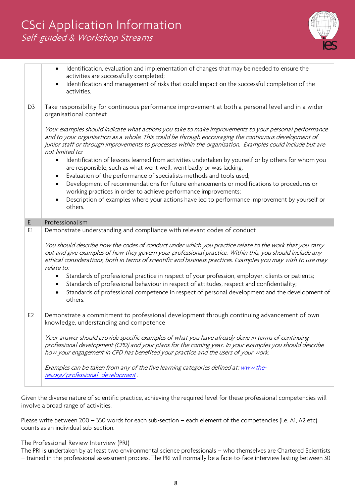# CSci Application Information Self-guided & Workshop Streams



|                | Identification, evaluation and implementation of changes that may be needed to ensure the<br>$\bullet$<br>activities are successfully completed;                                                                                                                                                                                                  |
|----------------|---------------------------------------------------------------------------------------------------------------------------------------------------------------------------------------------------------------------------------------------------------------------------------------------------------------------------------------------------|
|                | Identification and management of risks that could impact on the successful completion of the<br>$\bullet$<br>activities.                                                                                                                                                                                                                          |
| D <sub>3</sub> | Take responsibility for continuous performance improvement at both a personal level and in a wider<br>organisational context                                                                                                                                                                                                                      |
|                | Your examples should indicate what actions you take to make improvements to your personal performance<br>and to your organisation as a whole. This could be through encouraging the continuous development of<br>junior staff or through improvements to processes within the organisation. Examples could include but are<br>not limited to:     |
|                | Identification of lessons learned from activities undertaken by yourself or by others for whom you<br>$\bullet$<br>are responsible, such as what went well, went badly or was lacking;<br>Evaluation of the performance of specialists methods and tools used;<br>$\bullet$                                                                       |
|                | Development of recommendations for future enhancements or modifications to procedures or<br>$\bullet$<br>working practices in order to achieve performance improvements;                                                                                                                                                                          |
|                | Description of examples where your actions have led to performance improvement by yourself or<br>$\bullet$<br>others.                                                                                                                                                                                                                             |
| E.             | Professionalism                                                                                                                                                                                                                                                                                                                                   |
| E1             | Demonstrate understanding and compliance with relevant codes of conduct                                                                                                                                                                                                                                                                           |
|                | You should describe how the codes of conduct under which you practice relate to the work that you carry<br>out and give examples of how they govern your professional practice. Within this, you should include any<br>ethical considerations, both in terms of scientific and business practices. Examples you may wish to use may<br>relate to: |
|                | Standards of professional practice in respect of your profession, employer, clients or patients;<br>$\bullet$<br>Standards of professional behaviour in respect of attitudes, respect and confidentiality;<br>Standards of professional competence in respect of personal development and the development of                                      |
|                | others.                                                                                                                                                                                                                                                                                                                                           |
| E <sub>2</sub> | Demonstrate a commitment to professional development through continuing advancement of own<br>knowledge, understanding and competence                                                                                                                                                                                                             |
|                |                                                                                                                                                                                                                                                                                                                                                   |
|                | Your answer should provide specific examples of what you have already done in terms of continuing<br>professional development (CPD) and your plans for the coming year. In your examples you should describe<br>how your engagement in CPD has benefited your practice and the users of your work.                                                |
|                | Examples can be taken from any of the five learning categories defined at: www.the-<br>ies.org/professional development.                                                                                                                                                                                                                          |

Given the diverse nature of scientific practice, achieving the required level for these professional competencies will involve a broad range of activities.

Please write between 200 – 350 words for each sub-section – each element of the competencies (i.e. A1, A2 etc) counts as an individual sub-section.

The Professional Review Interview (PRI)

The PRI is undertaken by at least two environmental science professionals – who themselves are Chartered Scientists – trained in the professional assessment process. The PRI will normally be a face-to-face interview lasting between 30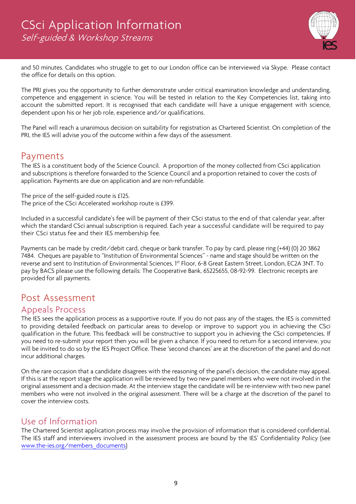

and 50 minutes. Candidates who struggle to get to our London office can be interviewed via Skype. Please contact the office for details on this option.

The PRI gives you the opportunity to further demonstrate under critical examination knowledge and understanding, competence and engagement in science. You will be tested in relation to the Key Competencies list, taking into account the submitted report. It is recognised that each candidate will have a unique engagement with science, dependent upon his or her job role, experience and/or qualifications.

The Panel will reach a unanimous decision on suitability for registration as Chartered Scientist. On completion of the PRI, the IES will advise you of the outcome within a few days of the assessment.

# Payments

The IES is a constituent body of the Science Council. A proportion of the money collected from CSci application and subscriptions is therefore forwarded to the Science Council and a proportion retained to cover the costs of application. Payments are due on application and are non-refundable.

The price of the self-guided route is £125. The price of the CSci Accelerated workshop route is £399.

Included in a successful candidate's fee will be payment of their CSci status to the end of that calendar year, after which the standard CSci annual subscription is required. Each year a successful candidate will be required to pay their CSci status fee and their IES membership fee.

Payments can be made by credit/debit card, cheque or bank transfer. To pay by card, please ring (+44) (0) 20 3862 7484. Cheques are payable to "Institution of Environmental Sciences" - name and stage should be written on the reverse and sent to Institution of Environmental Sciences, 1st Floor, 6-8 Great Eastern Street, London, EC2A 3NT. To pay by BACS please use the following details: The Cooperative Bank, 65225655, 08-92-99. Electronic receipts are provided for all payments.

# Post Assessment

### Appeals Process

The IES sees the application process as a supportive route. If you do not pass any of the stages, the IES is committed to providing detailed feedback on particular areas to develop or improve to support you in achieving the CSci qualification in the future. This feedback will be constructive to support you in achieving the CSci competencies. If you need to re-submit your report then you will be given a chance. If you need to return for a second interview, you will be invited to do so by the IES Project Office. These 'second chances' are at the discretion of the panel and do not incur additional charges.

On the rare occasion that a candidate disagrees with the reasoning of the panel's decision, the candidate may appeal. If this is at the report stage the application will be reviewed by two new panel members who were not involved in the original assessment and a decision made. At the interview stage the candidate will be re-interview with two new panel members who were not involved in the original assessment. There will be a charge at the discretion of the panel to cover the interview costs.

### Use of Information

The Chartered Scientist application process may involve the provision of information that is considered confidential. The IES staff and interviewers involved in the assessment process are bound by the IES' Confidentiality Policy (see [www.the-ies.org/members\\_documents\)](http://www.the-ies.org/members_documents)